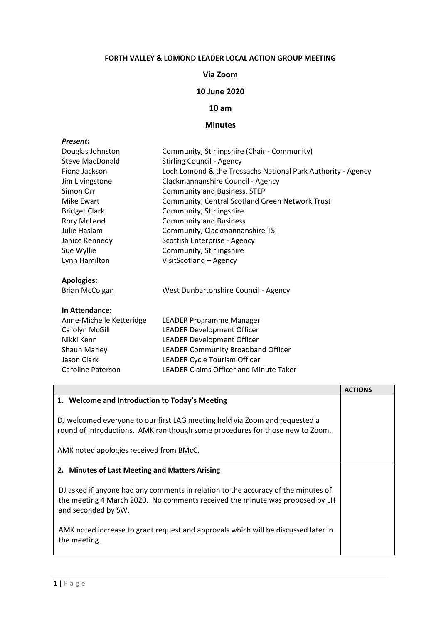# **FORTH VALLEY & LOMOND LEADER LOCAL ACTION GROUP MEETING**

### **Via Zoom**

# **10 June 2020**

### **10 am**

### **Minutes**

| Present:                 |                                                              |  |  |  |
|--------------------------|--------------------------------------------------------------|--|--|--|
| Douglas Johnston         | Community, Stirlingshire (Chair - Community)                 |  |  |  |
| Steve MacDonald          | <b>Stirling Council - Agency</b>                             |  |  |  |
| Fiona Jackson            | Loch Lomond & the Trossachs National Park Authority - Agency |  |  |  |
| Jim Livingstone          | Clackmannanshire Council - Agency                            |  |  |  |
| Simon Orr                | Community and Business, STEP                                 |  |  |  |
| Mike Ewart               | Community, Central Scotland Green Network Trust              |  |  |  |
| <b>Bridget Clark</b>     | Community, Stirlingshire                                     |  |  |  |
| Rory McLeod              | <b>Community and Business</b>                                |  |  |  |
| Julie Haslam             | Community, Clackmannanshire TSI                              |  |  |  |
| Janice Kennedy           | Scottish Enterprise - Agency                                 |  |  |  |
| Sue Wyllie               | Community, Stirlingshire                                     |  |  |  |
| Lynn Hamilton            | VisitScotland - Agency                                       |  |  |  |
| <b>Apologies:</b>        |                                                              |  |  |  |
| <b>Brian McColgan</b>    | West Dunbartonshire Council - Agency                         |  |  |  |
| In Attendance:           |                                                              |  |  |  |
| Anne-Michelle Ketteridge | LEADER Programme Manager                                     |  |  |  |
| Carolyn McGill           | <b>LEADER Development Officer</b>                            |  |  |  |
| Nikki Kenn               | <b>LEADER Development Officer</b>                            |  |  |  |
| <b>Shaun Marley</b>      | <b>LEADER Community Broadband Officer</b>                    |  |  |  |
| Jason Clark              | LEADER Cycle Tourism Officer                                 |  |  |  |
| Caroline Paterson        | <b>LEADER Claims Officer and Minute Taker</b>                |  |  |  |

|                                                                                                                                                                                          | <b>ACTIONS</b> |
|------------------------------------------------------------------------------------------------------------------------------------------------------------------------------------------|----------------|
| 1. Welcome and Introduction to Today's Meeting                                                                                                                                           |                |
| DJ welcomed everyone to our first LAG meeting held via Zoom and requested a<br>round of introductions. AMK ran though some procedures for those new to Zoom.                             |                |
| AMK noted apologies received from BMcC.                                                                                                                                                  |                |
|                                                                                                                                                                                          |                |
| 2. Minutes of Last Meeting and Matters Arising                                                                                                                                           |                |
| DJ asked if anyone had any comments in relation to the accuracy of the minutes of<br>the meeting 4 March 2020. No comments received the minute was proposed by LH<br>and seconded by SW. |                |
| AMK noted increase to grant request and approvals which will be discussed later in<br>the meeting.                                                                                       |                |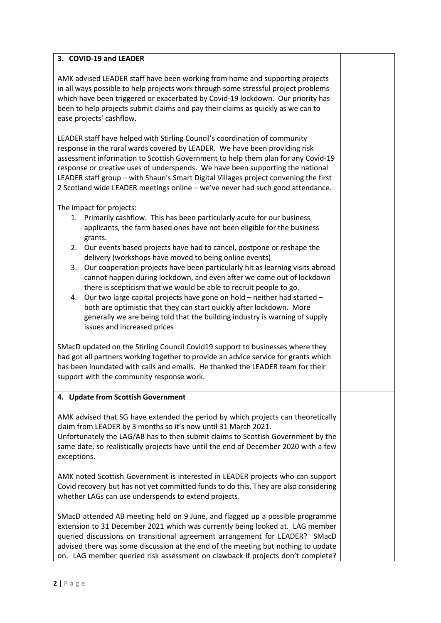# **3. COVID-19 and LEADER**

AMK advised LEADER staff have been working from home and supporting projects in all ways possible to help projects work through some stressful project problems which have been triggered or exacerbated by Covid-19 lockdown. Our priority has been to help projects submit claims and pay their claims as quickly as we can to ease projects' cashflow.

LEADER staff have helped with Stirling Council's coordination of community response in the rural wards covered by LEADER. We have been providing risk assessment information to Scottish Government to help them plan for any Covid-19 response or creative uses of underspends. We have been supporting the national LEADER staff group – with Shaun's Smart Digital Villages project convening the first 2 Scotland wide LEADER meetings online – we've never had such good attendance.

The impact for projects:

- 1. Primarily cashflow. This has been particularly acute for our business applicants, the farm based ones have not been eligible for the business grants.
- 2. Our events based projects have had to cancel, postpone or reshape the delivery (workshops have moved to being online events)
- 3. Our cooperation projects have been particularly hit as learning visits abroad cannot happen during lockdown, and even after we come out of lockdown there is scepticism that we would be able to recruit people to go.
- 4. Our two large capital projects have gone on hold neither had started both are optimistic that they can start quickly after lockdown. More generally we are being told that the building industry is warning of supply issues and increased prices

SMacD updated on the Stirling Council Covid19 support to businesses where they had got all partners working together to provide an advice service for grants which has been inundated with calls and emails. He thanked the LEADER team for their support with the community response work.

### **4. Update from Scottish Government**

AMK advised that SG have extended the period by which projects can theoretically claim from LEADER by 3 months so it's now until 31 March 2021. Unfortunately the LAG/AB has to then submit claims to Scottish Government by the same date, so realistically projects have until the end of December 2020 with a few

AMK noted Scottish Government is interested in LEADER projects who can support Covid recovery but has not yet committed funds to do this. They are also considering whether LAGs can use underspends to extend projects.

SMacD attended AB meeting held on 9 June, and flagged up a possible programme extension to 31 December 2021 which was currently being looked at. LAG member queried discussions on transitional agreement arrangement for LEADER? SMacD advised there was some discussion at the end of the meeting but nothing to update on. LAG member queried risk assessment on clawback if projects don't complete?

exceptions.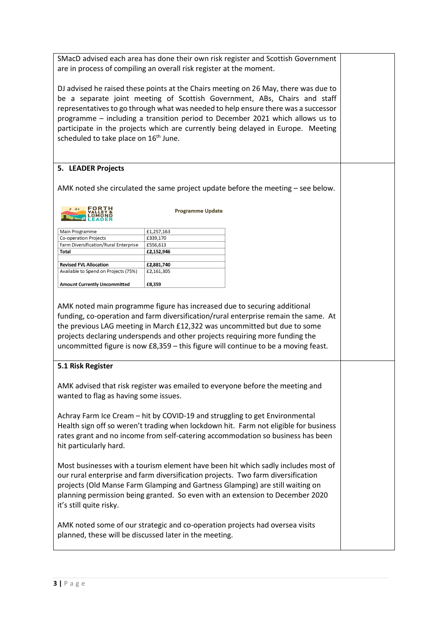SMacD advised each area has done their own risk register and Scottish Government are in process of compiling an overall risk register at the moment.

DJ advised he raised these points at the Chairs meeting on 26 May, there was due to be a separate joint meeting of Scottish Government, ABs, Chairs and staff representatives to go through what was needed to help ensure there was a successor programme – including a transition period to December 2021 which allows us to participate in the projects which are currently being delayed in Europe. Meeting scheduled to take place on 16<sup>th</sup> June.

# **5. LEADER Projects**

AMK noted she circulated the same project update before the meeting – see below.

|  | <b>FORTH</b><br><b>VALLEY</b><br><b>LOMOND</b><br>LEADER |
|--|----------------------------------------------------------|
|--|----------------------------------------------------------|

**Programme Update** 

| Main Programme                        | £1,257,163 |
|---------------------------------------|------------|
| Co-operation Projects                 | £339,170   |
| Farm Diversification/Rural Enterprise | £556,613   |
| Total                                 | £2,152,946 |
|                                       |            |
| <b>Revised FVL Allocation</b>         | £2,881,740 |
| Available to Spend on Projects (75%)  | £2,161,305 |
|                                       |            |
| <b>Amount Currently Uncommitted</b>   | £8,359     |

AMK noted main programme figure has increased due to securing additional funding, co-operation and farm diversification/rural enterprise remain the same. At the previous LAG meeting in March £12,322 was uncommitted but due to some projects declaring underspends and other projects requiring more funding the uncommitted figure is now £8,359 – this figure will continue to be a moving feast.

### **5.1 Risk Register**

AMK advised that risk register was emailed to everyone before the meeting and wanted to flag as having some issues.

Achray Farm Ice Cream – hit by COVID-19 and struggling to get Environmental Health sign off so weren't trading when lockdown hit. Farm not eligible for business rates grant and no income from self-catering accommodation so business has been hit particularly hard.

Most businesses with a tourism element have been hit which sadly includes most of our rural enterprise and farm diversification projects. Two farm diversification projects (Old Manse Farm Glamping and Gartness Glamping) are still waiting on planning permission being granted. So even with an extension to December 2020 it's still quite risky.

AMK noted some of our strategic and co-operation projects had oversea visits planned, these will be discussed later in the meeting.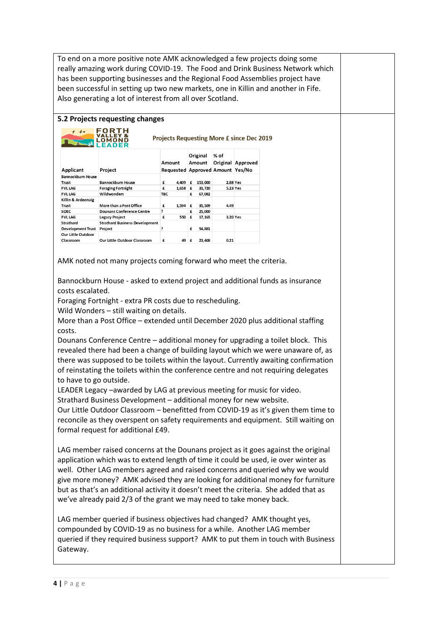To end on a more positive note AMK acknowledged a few projects doing some really amazing work during COVID-19. The Food and Drink Business Network which has been supporting businesses and the Regional Food Assemblies project have been successful in setting up two new markets, one in Killin and another in Fife. Also generating a lot of interest from all over Scotland.

### **5.2 Projects requesting changes**

| FORT<br>$+$ $\tau$<br><b>Projects Requesting More £ since Dec 2019</b> |                                       |            |       |   |                    |                                          |                   |
|------------------------------------------------------------------------|---------------------------------------|------------|-------|---|--------------------|------------------------------------------|-------------------|
| Applicant                                                              | Project                               | Amount     |       |   | Original<br>Amount | % of<br>Requested Approved Amount Yes/No | Original Approved |
| <b>Bannockburn House</b>                                               |                                       |            |       |   |                    |                                          |                   |
| Trust                                                                  | Bannockburn House                     | £          | 4.409 | £ | 153,000            |                                          | 2.88 Yes          |
| <b>FVL LAG</b>                                                         | <b>Foraging Fortnight</b>             | £          | 1.658 | £ | 31.720             |                                          | 5.23 Yes          |
| <b>FVL LAG</b>                                                         | Wildwonders                           | <b>TBC</b> |       | £ | 67,082             |                                          |                   |
| Killin & Ardeonaig<br>Trust                                            | More than a Post Office               | £          | 1,594 | £ | 35,509             | 4.49                                     |                   |
| SOEC                                                                   | Dounans Conference Centre             | ė.         |       | £ | 25,000             |                                          |                   |
| <b>FVL LAG</b>                                                         | <b>Legacy Project</b>                 | £          | 550   | £ | 17,165             |                                          | 3.20 Yes          |
| Strathard                                                              | <b>Strathard Business Development</b> |            |       |   |                    |                                          |                   |
| <b>Development Trust</b>                                               | Project                               | Ş          |       | £ | 54,881             |                                          |                   |
| Our Little Outdoor<br>Classroom                                        | Our Little Outdoor Classroom          | £          | 49    | £ | 23,408             | 0.21                                     |                   |

AMK noted not many projects coming forward who meet the criteria.

Bannockburn House - asked to extend project and additional funds as insurance costs escalated.

Foraging Fortnight - extra PR costs due to rescheduling.

Wild Wonders – still waiting on details.

More than a Post Office – extended until December 2020 plus additional staffing costs.

Dounans Conference Centre – additional money for upgrading a toilet block. This revealed there had been a change of building layout which we were unaware of, as there was supposed to be toilets within the layout. Currently awaiting confirmation of reinstating the toilets within the conference centre and not requiring delegates to have to go outside.

LEADER Legacy –awarded by LAG at previous meeting for music for video.

Strathard Business Development – additional money for new website.

Our Little Outdoor Classroom – benefitted from COVID-19 as it's given them time to reconcile as they overspent on safety requirements and equipment. Still waiting on formal request for additional £49.

LAG member raised concerns at the Dounans project as it goes against the original application which was to extend length of time it could be used, ie over winter as well. Other LAG members agreed and raised concerns and queried why we would give more money? AMK advised they are looking for additional money for furniture but as that's an additional activity it doesn't meet the criteria. She added that as we've already paid 2/3 of the grant we may need to take money back.

LAG member queried if business objectives had changed? AMK thought yes, compounded by COVID-19 as no business for a while. Another LAG member queried if they required business support? AMK to put them in touch with Business Gateway.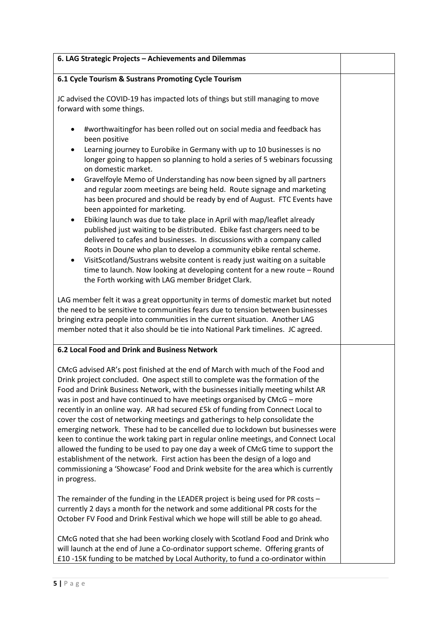| 6. LAG Strategic Projects - Achievements and Dilemmas                                                                                                                                                                                                                                                                                                                                                                                                                                                                                                                                                                                                                                                                                                                                                                                                                                                                                                                                                                                                       |  |
|-------------------------------------------------------------------------------------------------------------------------------------------------------------------------------------------------------------------------------------------------------------------------------------------------------------------------------------------------------------------------------------------------------------------------------------------------------------------------------------------------------------------------------------------------------------------------------------------------------------------------------------------------------------------------------------------------------------------------------------------------------------------------------------------------------------------------------------------------------------------------------------------------------------------------------------------------------------------------------------------------------------------------------------------------------------|--|
| 6.1 Cycle Tourism & Sustrans Promoting Cycle Tourism                                                                                                                                                                                                                                                                                                                                                                                                                                                                                                                                                                                                                                                                                                                                                                                                                                                                                                                                                                                                        |  |
| JC advised the COVID-19 has impacted lots of things but still managing to move<br>forward with some things.                                                                                                                                                                                                                                                                                                                                                                                                                                                                                                                                                                                                                                                                                                                                                                                                                                                                                                                                                 |  |
| #worthwaitingfor has been rolled out on social media and feedback has<br>been positive<br>Learning journey to Eurobike in Germany with up to 10 businesses is no<br>longer going to happen so planning to hold a series of 5 webinars focussing<br>on domestic market.<br>Gravelfoyle Memo of Understanding has now been signed by all partners<br>and regular zoom meetings are being held. Route signage and marketing<br>has been procured and should be ready by end of August. FTC Events have<br>been appointed for marketing.<br>Ebiking launch was due to take place in April with map/leaflet already<br>published just waiting to be distributed. Ebike fast chargers need to be<br>delivered to cafes and businesses. In discussions with a company called<br>Roots in Doune who plan to develop a community ebike rental scheme.<br>VisitScotland/Sustrans website content is ready just waiting on a suitable<br>time to launch. Now looking at developing content for a new route - Round<br>the Forth working with LAG member Bridget Clark. |  |
| LAG member felt it was a great opportunity in terms of domestic market but noted<br>the need to be sensitive to communities fears due to tension between businesses<br>bringing extra people into communities in the current situation. Another LAG<br>member noted that it also should be tie into National Park timelines. JC agreed.                                                                                                                                                                                                                                                                                                                                                                                                                                                                                                                                                                                                                                                                                                                     |  |
| 6.2 Local Food and Drink and Business Network                                                                                                                                                                                                                                                                                                                                                                                                                                                                                                                                                                                                                                                                                                                                                                                                                                                                                                                                                                                                               |  |
| CMcG advised AR's post finished at the end of March with much of the Food and<br>Drink project concluded. One aspect still to complete was the formation of the<br>Food and Drink Business Network, with the businesses initially meeting whilst AR<br>was in post and have continued to have meetings organised by CMcG - more<br>recently in an online way. AR had secured £5k of funding from Connect Local to<br>cover the cost of networking meetings and gatherings to help consolidate the<br>emerging network. These had to be cancelled due to lockdown but businesses were<br>keen to continue the work taking part in regular online meetings, and Connect Local<br>allowed the funding to be used to pay one day a week of CMcG time to support the<br>establishment of the network. First action has been the design of a logo and<br>commissioning a 'Showcase' Food and Drink website for the area which is currently<br>in progress.                                                                                                        |  |
| The remainder of the funding in the LEADER project is being used for PR costs -<br>currently 2 days a month for the network and some additional PR costs for the<br>October FV Food and Drink Festival which we hope will still be able to go ahead.                                                                                                                                                                                                                                                                                                                                                                                                                                                                                                                                                                                                                                                                                                                                                                                                        |  |
| CMcG noted that she had been working closely with Scotland Food and Drink who<br>will launch at the end of June a Co-ordinator support scheme. Offering grants of                                                                                                                                                                                                                                                                                                                                                                                                                                                                                                                                                                                                                                                                                                                                                                                                                                                                                           |  |

£10 -15K funding to be matched by Local Authority, to fund a co-ordinator within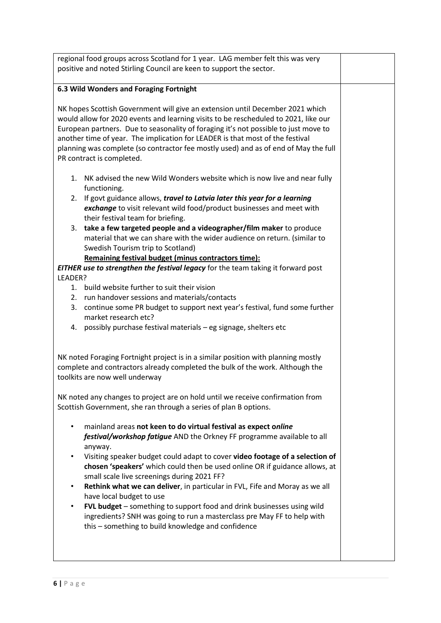regional food groups across Scotland for 1 year. LAG member felt this was very positive and noted Stirling Council are keen to support the sector. **6.3 Wild Wonders and Foraging Fortnight** NK hopes Scottish Government will give an extension until December 2021 which would allow for 2020 events and learning visits to be rescheduled to 2021, like our European partners. Due to seasonality of foraging it's not possible to just move to another time of year. The implication for LEADER is that most of the festival planning was complete (so contractor fee mostly used) and as of end of May the full PR contract is completed. 1. NK advised the new Wild Wonders website which is now live and near fully functioning. 2. If govt guidance allows, *travel to Latvia later this year for a learning exchange* to visit relevant wild food/product businesses and meet with their festival team for briefing. 3. **take a few targeted people and a videographer/film maker** to produce material that we can share with the wider audience on return. (similar to Swedish Tourism trip to Scotland) **Remaining festival budget (minus contractors time):** *EITHER use to strengthen the festival legacy* for the team taking it forward post LEADER? 1. build website further to suit their vision 2. run handover sessions and materials/contacts 3. continue some PR budget to support next year's festival, fund some further market research etc? 4. possibly purchase festival materials – eg signage, shelters etc NK noted Foraging Fortnight project is in a similar position with planning mostly complete and contractors already completed the bulk of the work. Although the toolkits are now well underway NK noted any changes to project are on hold until we receive confirmation from Scottish Government, she ran through a series of plan B options. • mainland areas **not keen to do virtual festival as expect o***nline festival/workshop fatigue* AND the Orkney FF programme available to all anyway. • Visiting speaker budget could adapt to cover **video footage of a selection of chosen 'speakers'** which could then be used online OR if guidance allows, at small scale live screenings during 2021 FF? • **Rethink what we can deliver**, in particular in FVL, Fife and Moray as we all have local budget to use • **FVL budget** – something to support food and drink businesses using wild ingredients? SNH was going to run a masterclass pre May FF to help with this – something to build knowledge and confidence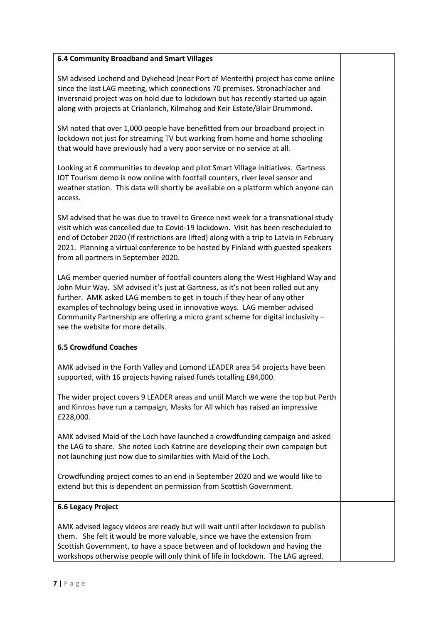### **6.4 Community Broadband and Smart Villages**

SM advised Lochend and Dykehead (near Port of Menteith) project has come online since the last LAG meeting, which connections 70 premises. Stronachlacher and Inversnaid project was on hold due to lockdown but has recently started up again along with projects at Crianlarich, Kilmahog and Keir Estate/Blair Drummond.

SM noted that over 1,000 people have benefitted from our broadband project in lockdown not just for streaming TV but working from home and home schooling that would have previously had a very poor service or no service at all.

Looking at 6 communities to develop and pilot Smart Village initiatives. Gartness IOT Tourism demo is now online with footfall counters, river level sensor and weather station. This data will shortly be available on a platform which anyone can access.

SM advised that he was due to travel to Greece next week for a transnational study visit which was cancelled due to Covid-19 lockdown. Visit has been rescheduled to end of October 2020 (if restrictions are lifted) along with a trip to Latvia in February 2021. Planning a virtual conference to be hosted by Finland with guested speakers from all partners in September 2020.

LAG member queried number of footfall counters along the West Highland Way and John Muir Way. SM advised it's just at Gartness, as it's not been rolled out any further. AMK asked LAG members to get in touch if they hear of any other examples of technology being used in innovative ways. LAG member advised Community Partnership are offering a micro grant scheme for digital inclusivity – see the website for more details.

### **6.5 Crowdfund Coaches**

AMK advised in the Forth Valley and Lomond LEADER area 54 projects have been supported, with 16 projects having raised funds totalling £84,000.

The wider project covers 9 LEADER areas and until March we were the top but Perth and Kinross have run a campaign, Masks for All which has raised an impressive £228,000.

AMK advised Maid of the Loch have launched a crowdfunding campaign and asked the LAG to share. She noted Loch Katrine are developing their own campaign but not launching just now due to similarities with Maid of the Loch.

Crowdfunding project comes to an end in September 2020 and we would like to extend but this is dependent on permission from Scottish Government.

### **6.6 Legacy Project**

AMK advised legacy videos are ready but will wait until after lockdown to publish them. She felt it would be more valuable, since we have the extension from Scottish Government, to have a space between and of lockdown and having the workshops otherwise people will only think of life in lockdown. The LAG agreed.